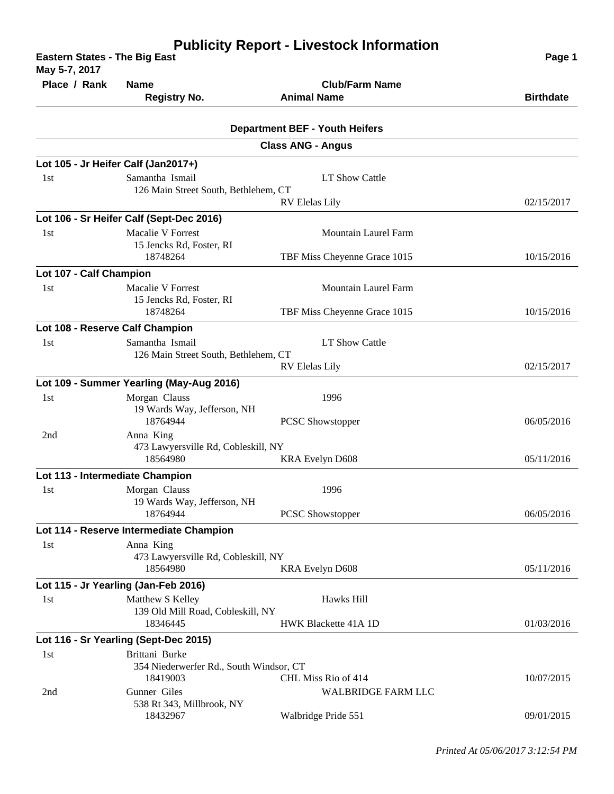| <b>Eastern States - The Big East</b><br>May 5-7, 2017 | Page 1                                                                                                  |                                                  |                  |
|-------------------------------------------------------|---------------------------------------------------------------------------------------------------------|--------------------------------------------------|------------------|
| Place / Rank                                          | <b>Name</b><br><b>Registry No.</b>                                                                      | <b>Club/Farm Name</b><br><b>Animal Name</b>      | <b>Birthdate</b> |
|                                                       |                                                                                                         | <b>Department BEF - Youth Heifers</b>            |                  |
|                                                       |                                                                                                         | <b>Class ANG - Angus</b>                         |                  |
|                                                       | Lot 105 - Jr Heifer Calf (Jan2017+)                                                                     |                                                  |                  |
| 1st                                                   | Samantha Ismail<br>126 Main Street South, Bethlehem, CT                                                 | LT Show Cattle                                   |                  |
|                                                       |                                                                                                         | <b>RV Elelas Lily</b>                            | 02/15/2017       |
| 1st                                                   | Lot 106 - Sr Heifer Calf (Sept-Dec 2016)<br><b>Macalie V Forrest</b><br>15 Jencks Rd, Foster, RI        | <b>Mountain Laurel Farm</b>                      |                  |
|                                                       | 18748264                                                                                                | TBF Miss Cheyenne Grace 1015                     | 10/15/2016       |
| Lot 107 - Calf Champion<br>1st                        | Macalie V Forrest<br>15 Jencks Rd, Foster, RI                                                           | <b>Mountain Laurel Farm</b>                      |                  |
|                                                       | 18748264                                                                                                | TBF Miss Cheyenne Grace 1015                     | 10/15/2016       |
| Lot 108 - Reserve Calf Champion                       |                                                                                                         |                                                  |                  |
| 1st                                                   | Samantha Ismail                                                                                         | LT Show Cattle                                   |                  |
|                                                       | 126 Main Street South, Bethlehem, CT<br><b>RV Elelas Lily</b>                                           |                                                  | 02/15/2017       |
|                                                       | Lot 109 - Summer Yearling (May-Aug 2016)                                                                |                                                  |                  |
| 1st                                                   | Morgan Clauss<br>19 Wards Way, Jefferson, NH<br>18764944                                                | 1996<br>PCSC Showstopper                         | 06/05/2016       |
| 2nd                                                   | Anna King<br>473 Lawyersville Rd, Cobleskill, NY<br>18564980                                            | KRA Evelyn D608                                  | 05/11/2016       |
| Lot 113 - Intermediate Champion                       |                                                                                                         |                                                  |                  |
| 1st                                                   | Morgan Clauss<br>19 Wards Way, Jefferson, NH                                                            | 1996                                             |                  |
|                                                       | 18764944                                                                                                | <b>PCSC</b> Showstopper                          | 06/05/2016       |
| 1st                                                   | Lot 114 - Reserve Intermediate Champion<br>Anna King<br>473 Lawyersville Rd, Cobleskill, NY<br>18564980 | <b>KRA Evelyn D608</b>                           | 05/11/2016       |
|                                                       | Lot 115 - Jr Yearling (Jan-Feb 2016)                                                                    |                                                  |                  |
| 1st                                                   | Matthew S Kelley<br>139 Old Mill Road, Cobleskill, NY                                                   | Hawks Hill                                       |                  |
|                                                       | 18346445                                                                                                | HWK Blackette 41A 1D                             | 01/03/2016       |
| 1st                                                   | Lot 116 - Sr Yearling (Sept-Dec 2015)<br>Brittani Burke                                                 |                                                  |                  |
|                                                       | 354 Niederwerfer Rd., South Windsor, CT<br>18419003                                                     | CHL Miss Rio of 414                              | 10/07/2015       |
| 2nd                                                   | Gunner Giles<br>538 Rt 343, Millbrook, NY<br>18432967                                                   | <b>WALBRIDGE FARM LLC</b><br>Walbridge Pride 551 | 09/01/2015       |